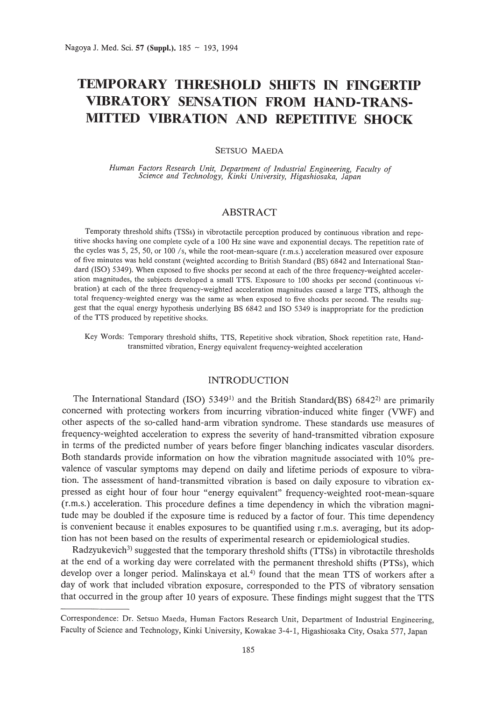# **TEMPORARY THRESHOLD SHIFTS IN FINGERTIP VIBRATORY SENSATION FROM HAND-TRANS-MITTED VIBRATION AND REPETITIVE SHOCK**

## SETSUO MAEDA

*Human Factors Research Unit, Department of Industrial Engineering, Faculty of Science and Technology, Kinki University, Higashiosaka, Japan*

# ABSTRACT

Temporaty threshold shifts (TSSs) in vibrotactile perception produced by continuous vibration and repetitive shocks having one complete cycle of a 100 Hz sine wave and exponential decays. The repetition rate of the cycles was 5, 25, 50, or 100 /s, while the root-mean-square (r.m.s.) acceleration measured over exposure of five minutes was held constant (weighted according to British Standard (BS) 6842 and International Standard (ISO) 5349). When exposed to five shocks per second at each of the three frequency-weighted acceleration magnitudes, the subjects developed a small TIS. Exposure to 100 shocks per second (continuous vibration) at each of the three frequency-weighted acceleration magnitudes caused a large TIS, although the total frequency-weighted energy was the same as when exposed to five shocks per second. The results suggest that the equal energy hypothesis underlying BS 6842 and ISO 5349 is inappropriate for the prediction of the TIS produced by repetitive shocks.

Key Words: Temporary threshold shifts, TIS, Repetitive shock vibration, Shock repetition rate, Handtransmitted vibration, Energy equivalent frequency-weighted acceleration

## INTRODUCTION

The International Standard (ISO) 5349<sup>1</sup> and the British Standard(BS) 6842<sup>2</sup> are primarily concerned with protecting workers from incurring vibration-induced white finger (VWF) and other aspects of the so-called hand-arm vibration syndrome. These standards use measures of frequency-weighted acceleration to express the severity of hand-transmitted vibration exposure in terms of the predicted number of years before finger blanching indicates vascular disorders. Both standards provide information on how the vibration magnitude associated with 10% prevalence of vascular symptoms may depend on daily and lifetime periods of exposure to vibration. The assessment of hand-transmitted vibration is based on daily exposure to vibration expressed as eight hour of four hour "energy equivalent" frequency-weighted root-mean-square (r.m.s.) acceleration. This procedure defines a time dependency in which the vibration magnitude may be doubled if the exposure time is reduced by a factor of four. This time dependency is convenient because it enables exposures to be quantified using r.m.s. averaging, but its adoption has not been based on the results of experimental research or epidemiological studies.

Radzyukevich<sup>3</sup>) suggested that the temporary threshold shifts (TTSs) in vibrotactile thresholds at the end of a working day were correlated with the permanent threshold shifts (PTSs), which develop over a longer period. Malinskaya et al.<sup>4)</sup> found that the mean TTS of workers after a day of work that included vibration exposure, corresponded to the PTS of vibratory sensation that occurred in the group after 10 years of exposure. These findings might suggest that the TIS

Correspondence: Dr. Setsuo Maeda, Human Factors Research Unit, Department of Industrial Engineering, Faculty of Science and Technology, Kinki University, Kowakae 3-4-1, Higashiosaka City, Osaka 577, Japan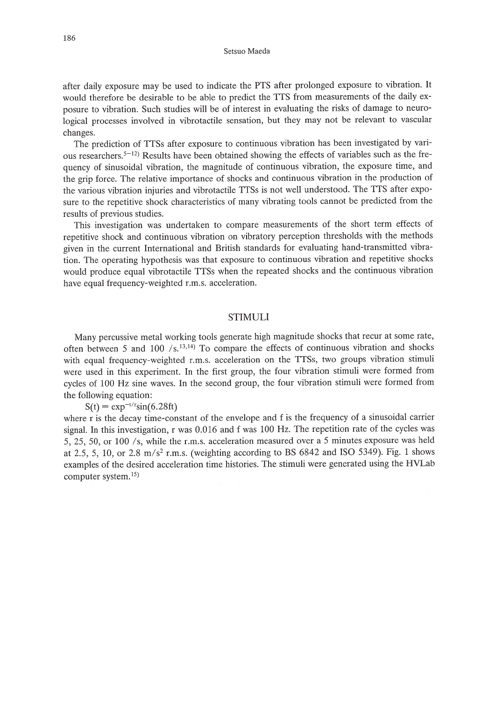after daily exposure may be used to indicate the PTS after prolonged exposure to vibration. It would therefore be desirable to be able to predict the TIS from measurements of the daily exposure to vibration. Such studies will be of interest in evaluating the risks of damage to neurological processes involved in vibrotactile sensation, but they may not be relevant to vascular changes.

The prediction of TISs after exposure to continuous vibration has been investigated by various researchers.  $5-12$ ) Results have been obtained showing the effects of variables such as the frequency of sinusoidal vibration, the magnitude of continuous vibration, the exposure time, and the grip force. The relative importance of shocks and continuous vibration in the production of the various vibration injuries and vibrotactile TISs is not well understood. The TIS after exposure to the repetitive shock characteristics of many vibrating tools cannot be predicted from the results of previous studies.

This investigation was undertaken to compare measurements of the short term effects of repetitive shock and continuous vibration on vibratory perception thresholds with the methods given in the current International and British standards for evaluating hand-transmitted vibration. The operating hypothesis was that exposure to continuous vibration and repetitive shocks would produce equal vibrotactile TISs when the repeated shocks and the continuous vibration have equal frequency-weighted r.m.s. acceleration.

## STIMULI

Many percussive metal working tools generate high magnitude shocks that recur at some rate, often between 5 and 100  $/s$ .<sup>13,14</sup>) To compare the effects of continuous vibration and shocks with equal frequency-weighted r.m.s. acceleration on the TISs, two groups vibration stimuli were used in this experiment. In the first group, the four vibration stimuli were formed from cycles of 100 Hz sine waves. In the second group, the four vibration stimuli were formed from the following equation:

 $S(t) = exp^{-t/r}sin(6.28ft)$ 

where r is the decay time-constant of the envelope and f is the frequency of a sinusoidal carrier signal. In this investigation, r was 0.016 and f was 100 Hz. The repetition rate of the cycles was 5, 25, 50, or 100 *Is,* while the r.m.s. acceleration measured over a 5 minutes exposure was held at 2.5, 5, 10, or 2.8 *m/s2* r.m.s. (weighting according to BS 6842 and ISO 5349). Fig. 1 shows examples of the desired acceleration time histories. The stimuli were generated using the HVLab computer system. $15$ )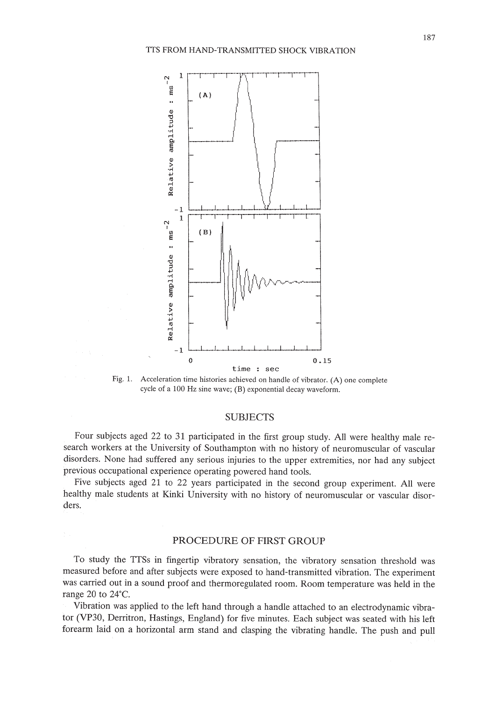

Fig. 1. Acceleration time histories achieved on handle of vibrator. (A) one complete cycle of a 100 Hz sine wave; (B) exponential decay waveform.

# SUBJECTS

Four subjects aged 22 to 31 participated in the first group study. All were healthy male research workers at the University of Southampton with no history of neuromuscular of vascular disorders. None had suffered any serious injuries to the upper extremities, nor had any subject previous occupational experience operating powered hand tools.

Five subjects aged 21 to 22 years participated in the second group experiment. All were healthy male students at Kinki University with no history of neuromuscular or vascular disorders.

# PROCEDURE OF FIRST GROUP

To study the TISs in fingertip vibratory sensation, the vibratory sensation threshold was measured before and after subjects were exposed to hand-transmitted vibration. The experiment was carried out in a sound proof and thermoregulated room. Room temperature was held in the range 20 to 24'C.

Vibration was applied to the left hand through a handle attached to an electrodynamic vibrator (VP30, Derritron, Hastings, England) for five minutes. Each subject was seated with his left forearm laid on a horizontal arm stand and clasping the vibrating handle. The push and pull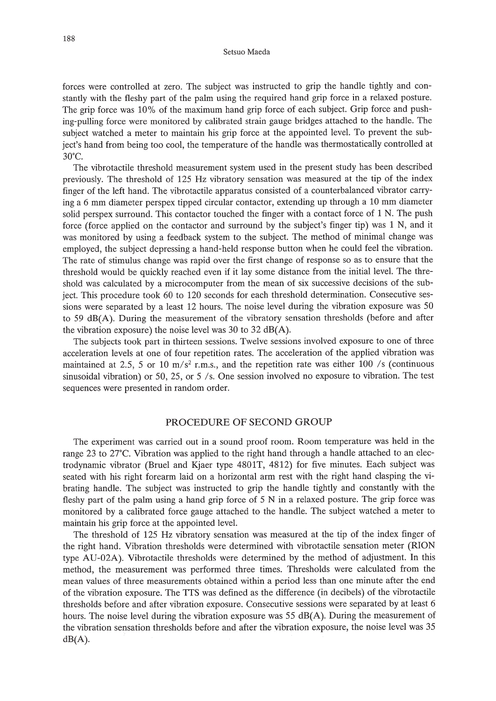forces were controlled at zero. The subject was instructed to grip the handle tightly and constantly with the fleshy part of the palm using the required hand grip force in a relaxed posture. The grip force was 10% of the maximum hand grip force of each subject. Grip force and pushing-pulling force were monitored by calibrated strain gauge bridges attached to the handle. The subject watched a meter to maintain his grip force at the appointed level. To prevent the subject's hand from being too cool, the temperature of the handle was thermostatically controlled at 30°e.

The vibrotactile threshold measurement system used in the present study has been described previously. The threshold of 125 Hz vibratory sensation was measured at the tip of the index finger of the left hand. The vibrotactile apparatus consisted of a counterbalanced vibrator carrying a 6 mm diameter perspex tipped circular contactor, extending up through a 10 mm diameter solid perspex surround. This contactor touched the finger with a contact force of 1 N. The push force (force applied on the contactor and surround by the subject's finger tip) was 1 N, and it was monitored by using a feedback system to the subject. The method of minimal change was employed, the subject depressing a hand-held response button when he could feel the vibration. The rate of stimulus change was rapid over the first change of response so as to ensure that the threshold would be quickly reached even if it lay some distance from the initial level. The threshold was calculated by a microcomputer from the mean of six successive decisions of the subject. This procedure took 60 to 120 seconds for each threshold determination. Consecutive sessions were separated by a least 12 hours. The noise level during the vibration exposure was 50 to 59 dB(A). During the measurement of the vibratory sensation thresholds (before and after the vibration exposure) the noise level was  $30$  to  $32$  dB(A).

The subjects took part in thirteen sessions. Twelve sessions involved exposure to one of three acceleration levels at one of four repetition rates. The acceleration of the applied vibration was maintained at 2.5, 5 or 10  $m/s<sup>2</sup>$  r.m.s., and the repetition rate was either 100 /s (continuous sinusoidal vibration) or 50, 25, or 5 *Is.* One session involved no exposure to vibration. The test sequences were presented in random order.

## PROCEDURE OF SECOND GROUP

The experiment was carried out in a sound proof room. Room temperature was held in the range 23 to 27°C. Vibration was applied to the right hand through a handle attached to an electrodynamic vibrator (Bruel and Kjaer type 4801T, 4812) for five minutes. Each subject was seated with his right forearm laid on a horizontal arm rest with the right hand clasping the vibrating handle. The subject was instructed to grip the handle tightly and constantly with the fleshy part of the palm using a hand grip force of 5 N in a relaxed posture. The grip force was monitored by a calibrated force gauge attached to the handle. The subject watched a meter to maintain his grip force at the appointed level.

The threshold of 125 Hz vibratory sensation was measured at the tip of the index finger of the right hand. Vibration thresholds were determined with vibrotactile sensation meter (RION type AU-02A). Vibrotactile thresholds were determined by the method of adjustment. In this method, the measurement was performed three times. Thresholds were calculated from the mean values of three measurements obtained within a period less than one minute after the end of the vibration exposure. The TIS was defined as the difference (in decibels) of the vibrotactile thresholds before and after vibration exposure. Consecutive sessions were separated by at least 6 hours. The noise level during the vibration exposure was 55 dB(A). During the measurement of the vibration sensation thresholds before and after the vibration exposure, the noise level was 35  $dB(A)$ .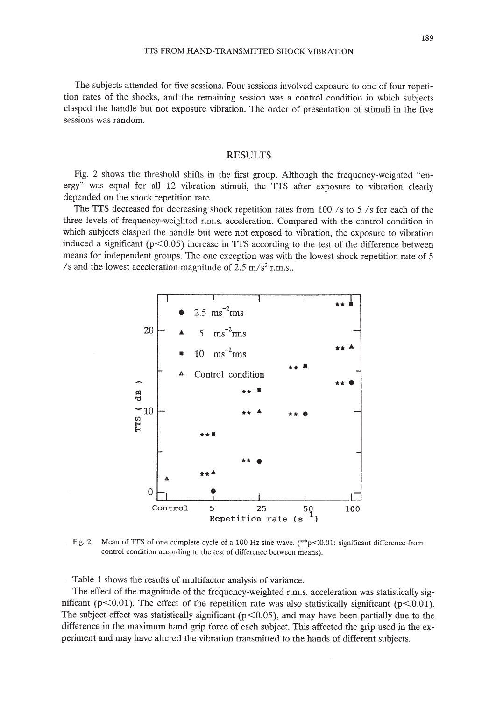The subjects attended for five sessions. Four sessions involved exposure to one of four repetition rates of the shocks, and the remaining session was a control condition in which subjects clasped the handle but not exposure vibration. The order of presentation of stimuli in the five sessions was random.

# RESULTS

Fig. 2 shows the threshold shifts in the first group. Although the frequency-weighted "energy" was equal for all 12 vibration stimuli, the TIS after exposure to vibration clearly depended on the shock repetition rate.

The TIS decreased for decreasing shock repetition rates from 100 *Is* to 5 *Is* for each of the three levels of frequency-weighted r.m.s. acceleration. Compared with the control condition in which subjects clasped the handle but were not exposed to vibration, the exposure to vibration induced a significant ( $p$ <0.05) increase in TTS according to the test of the difference between means for independent groups. The one exception was with the lowest shock repetition rate of 5 *Is* and the lowest acceleration magnitude of 2.5 *m/s2* r.m.s..



Fig. 2. Mean of TTS of one complete cycle of a 100 Hz sine wave.  $(*r > 0.01$ : significant difference from control condition according to the test of difference between means).

Table 1 shows the results of multifactor analysis of variance.

The effect of the magnitude of the frequency-weighted r.m.s. acceleration was statistically significant ( $p<0.01$ ). The effect of the repetition rate was also statistically significant ( $p<0.01$ ). The subject effect was statistically significant ( $p<0.05$ ), and may have been partially due to the difference in the maximum hand grip force of each subject. This affected the grip used in the experiment and may have altered the vibration transmitted to the hands of different subjects.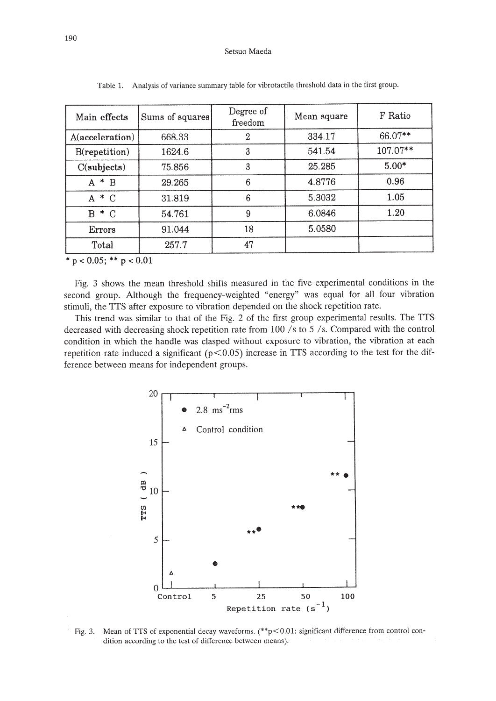| Main effects    | Sums of squares | Degree of<br>freedom | Mean square | F Ratio    |
|-----------------|-----------------|----------------------|-------------|------------|
| A(acceleration) | 668.33          | 2                    | 334.17      | 66.07**    |
| B(repetition)   | 1624.6          | 3                    | 541.54      | $107.07**$ |
| C(subjects)     | 75.856          | 3                    | 25.285      | $5.00*$    |
| $A * B$         | 29.265          | 6                    | 4.8776      | 0.96       |
| $A * C$         | 31.819          | 6                    | 5.3032      | 1.05       |
| $B * C$         | 54.761          | 9                    | 6.0846      | 1.20       |
| Errors          | 91.044          | 18                   | 5.0580      |            |
| Total           | 257.7           | 47                   |             |            |

Table 1. Analysis of variance summary table for vibrotactile threshold data in the first group.

 $*$  p < 0.05; \*\* p < 0.01

Fig. 3 shows the mean threshold shifts measured in the five experimental conditions in the second group. Although the frequency-weighted "energy" was equal for all four vibration stimuli, the TIS after exposure to vibration depended on the shock repetition rate.

This trend was similar to that of the Fig. 2 of the first group experimental results. The TIS decreased with decreasing shock repetition rate from 100 /s to 5 /s. Compared with the control condition in which the handle was clasped without exposure to vibration, the vibration at each repetition rate induced a significant ( $p<0.05$ ) increase in TTS according to the test for the difference between means for independent groups.



Fig. 3. Mean of TTS of exponential decay waveforms.  $(*p<0.01$ : significant difference from control condition according to the test of difference between means).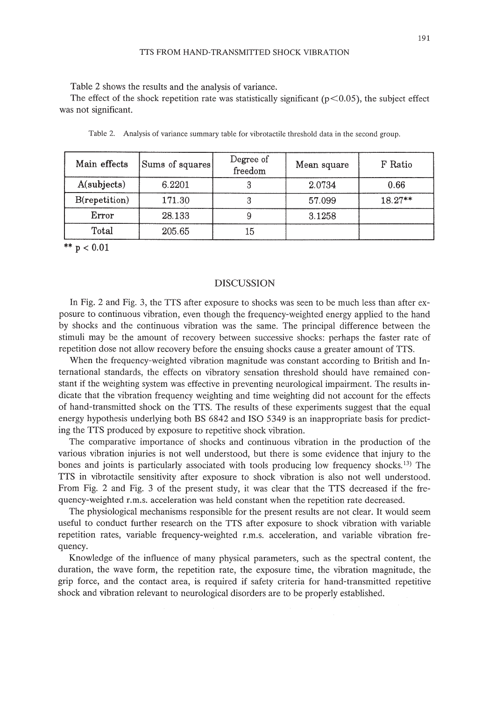Table 2 shows the results and the analysis of variance.

The effect of the shock repetition rate was statistically significant ( $p<0.05$ ), the subject effect was not significant.

| Main effects  | Sums of squares | Degree of<br>freedom | Mean square | F Ratio   |
|---------------|-----------------|----------------------|-------------|-----------|
| A(subjects)   | 6.2201          |                      | 2.0734      | 0.66      |
| B(repetition) | 171.30          |                      | 57.099      | $18.27**$ |
| Error         | 28.133          |                      | 3.1258      |           |
| Total         | 205.65          | 15                   |             |           |

Table 2. Analysis of variance summary table for vibrotactile threshold data in the second group.

\*\*  $p < 0.01$ 

## DISCUSSION

In Fig. 2 and Fig. 3, the TTS after exposure to shocks was seen to be much less than after exposure to continuous vibration, even though the frequency-weighted energy applied to the hand by shocks and the continuous vibration was the same. The principal difference between the stimuli may be the amount of recovery between successive shocks: perhaps the faster rate of repetition dose not allow recovery before the ensuing shocks cause a greater amount of ITS.

When the frequency-weighted vibration magnitude was constant according to British and International standards, the effects on vibratory sensation threshold should have remained constant if the weighting system was effective in preventing neurological impairment. The results indicate that the vibration frequency weighting and time weighting did not account for the effects of hand-transmitted shock on the ITS. The results of these experiments suggest that the equal energy hypothesis underlying both BS 6842 and ISO 5349 is an inappropriate basis for predicting the ITS produced by exposure to repetitive shock vibration.

The comparative importance of shocks and continuous vibration in the production of the various vibration injuries is not well understood, but there is some evidence that injury to the bones and joints is particularly associated with tools producing low frequency shocks. <sup>13</sup> ) The ITS in vibrotactile sensitivity after exposure to shock vibration is also not well understood. From Fig. 2 and Fig. 3 of the present study, it was clear that the ITS decreased if the frequency-weighted r.m.s. acceleration was held constant when the repetition rate decreased.

The physiological mechanisms responsible for the present results are not clear. It would seem useful to conduct further research on the TIS after exposure to shock vibration with variable repetition rates, variable frequency-weighted r.m.s. acceleration, and variable vibration frequency.

Knowledge of the influence of many physical parameters, such as the spectral content, the duration, the wave form, the repetition rate, the exposure time, the vibration magnitude, the grip force, and the contact area, is required if safety criteria for hand-transmitted repetitive shock and vibration relevant to neurological disorders are to be properly established.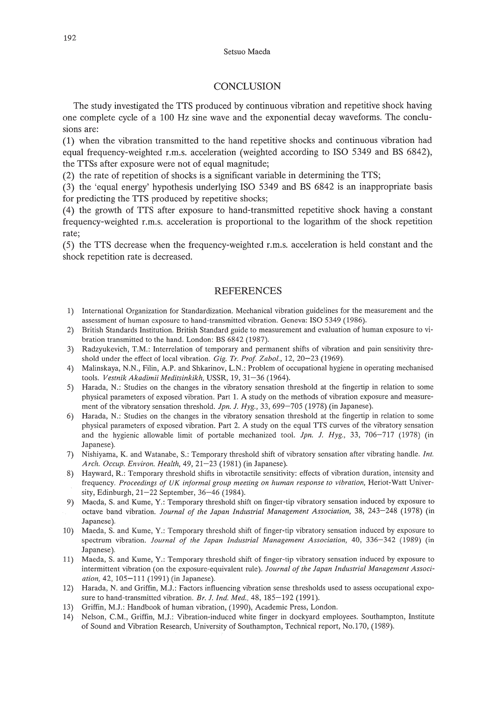# **CONCLUSION**

The study investigated the TTS produced by continuous vibration and repetitive shock having one complete cycle of a 100 Hz sine wave and the exponential decay waveforms. The conclusions are:

(1) when the vibration transmitted to the hand repetitive shocks and continuous vibration had equal frequency-weighted r.m.s. acceleration (weighted according to ISO 5349 and BS 6842), the TISs after exposure were not of equal magnitude;

(2) the rate of repetition of shocks is a significant variable in determining the TIS;

(3) the 'equal energy' hypothesis underlying ISO 5349 and BS 6842 is an inappropriate basis for predicting the TIS produced by repetitive shocks;

(4) the growth of TIS after exposure to hand-transmitted repetitive shock having a constant frequency-weighted r.m.s. acceleration is proportional to the logarithm of the shock repetition rate;

(5) the TIS decrease when the frequency-weighted r.m.s. acceleration is held constant and the shock repetition rate is decreased.

## REFERENCES

- 1) International Organization for Standardization. Mechanical vibration guidelines for the measurement and the assessment of human exposure to hand-transmitted vibration. Geneva: ISO 5349 (1986).
- 2) British Standards Institution. British Standard guide to measurement and evaluation of human exposure to vibration transmitted to the hand. London: BS 6842 (1987).
- 3) Radzyukevich, T.M.: Interrelation of temporary and permanent shifts of vibration and pain sensitivity threshold under the effect of local vibration. *Gig. Yr. Prof Zabol.,* 12,20-23 (1969).
- 4) Malinskaya, N.N., Filin, A.P. and Shkarinov, L.N.: Problem of occupational hygiene in operating mechanised tools. *Vestnik Akadimii Meditsinkikh,* USSR, 19,31-36 (1964).
- 5) Harada, N.: Studies on the changes in the vibratory sensation threshold at the fingertip in relation to some physical parameters of exposed vibration. Part 1. A study on the methods of vibration exposure and measurement of the vibratory sensation threshold. *Jpn. J. Hyg.,* 33, 699-705 (1978) (in Japanese).
- 6) Harada, N.: Studies on the changes in the vibratory sensation threshold at the fingertip in relation to some physical parameters of exposed vibration. Part 2. A study on the equal TIS curves of the vibratory sensation and the hygienic allowable limit of portable mechanized tool. *Jpn. J. Hyg.,* 33, 706-717 (1978) (in Japanese).
- 7) Nishiyama, K. and Watanabe, *S.:* Temporary threshold shift of vibratory sensation after vibrating handle. *Int. Arch. Occup. Environ. Health,* 49, 21-23 (1981) (in Japanese).
- 8) Hayward, R.: Temporary threshold shifts in vibrotactile sensitivity: effects of vibration duration, intensity and frequency. *Proceedings of UK informal group meeting on human response to vibration,* Heriot-Watt University, Edinburgh, 21-22 September, 36-46 (1984).
- 9) Maeda, S. and Kume, Y.: Temporary threshold shift on finger-tip vibratory sensation induced by exposure to octave band vibration. *Journal of the Japan Industrial Management Association,* 38, 243-248 (1978) (in Japanese).
- 10) Maeda, S. and Kume, Y.: Temporary threshold shift of finger-tip vibratory sensation induced by exposure to spectrum vibration. *Journal of the Japan Industrial Management Association,* 40, 336-342 (1989) (in Japanese).
- 11) Maeda, S. and Kume, Y.: Temporary threshold shift of finger-tip vibratory sensation induced by exposure to intermittent vibration (on the exposure-equivalent rule). *Journal of the Japan Industrial Management Association,* 42, 105-111 (1991) (in Japanese).
- 12) Harada, N. and Griffin, MJ.: Factors influencing vibration sense thresholds used to assess occupational exposure to hand-transmitted vibration. *Br. J. Ind. Med.,* 48,185-192 (1991).
- 13) Griffin, M.J.: Handbook of human vibration, (1990), Academic Press, London.
- 14) Nelson, eM., Griffin, M.J.: Vibration-induced white finger in dockyard employees. Southampton, Institute of Sound and Vibration Research, University of Southampton, Technical report, No.I70, (1989).